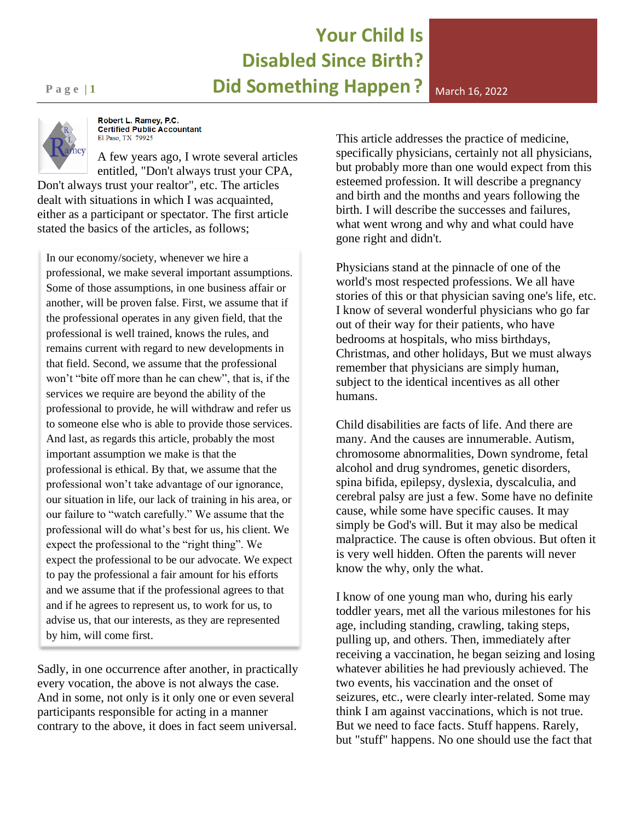#### **Your Child Is Disabled Since Birth? Page 11 Did Something Happen** ? March 16, 2022



Robert L. Ramey, P.C. **Certified Public Accountant** El Paso, TX 79925

A few years ago, I wrote several articles entitled, "Don't always trust your CPA,

Don't always trust your realtor", etc. The articles dealt with situations in which I was acquainted, either as a participant or spectator. The first article stated the basics of the articles, as follows;

In our economy/society, whenever we hire a professional, we make several important assumptions. Some of those assumptions, in one business affair or another, will be proven false. First, we assume that if the professional operates in any given field, that the professional is well trained, knows the rules, and remains current with regard to new developments in that field. Second, we assume that the professional won't "bite off more than he can chew", that is, if the services we require are beyond the ability of the professional to provide, he will withdraw and refer us to someone else who is able to provide those services. And last, as regards this article, probably the most important assumption we make is that the professional is ethical. By that, we assume that the professional won't take advantage of our ignorance, our situation in life, our lack of training in his area, or our failure to "watch carefully." We assume that the professional will do what's best for us, his client. We expect the professional to the "right thing". We expect the professional to be our advocate. We expect to pay the professional a fair amount for his efforts and we assume that if the professional agrees to that and if he agrees to represent us, to work for us, to advise us, that our interests, as they are represented by him, will come first.

Sadly, in one occurrence after another, in practically every vocation, the above is not always the case. And in some, not only is it only one or even several participants responsible for acting in a manner contrary to the above, it does in fact seem universal.

This article addresses the practice of medicine, specifically physicians, certainly not all physicians, but probably more than one would expect from this esteemed profession. It will describe a pregnancy and birth and the months and years following the birth. I will describe the successes and failures, what went wrong and why and what could have gone right and didn't.

Physicians stand at the pinnacle of one of the world's most respected professions. We all have stories of this or that physician saving one's life, etc. I know of several wonderful physicians who go far out of their way for their patients, who have bedrooms at hospitals, who miss birthdays, Christmas, and other holidays, But we must always remember that physicians are simply human, subject to the identical incentives as all other humans.

Child disabilities are facts of life. And there are many. And the causes are innumerable. Autism, chromosome abnormalities, Down syndrome, fetal alcohol and drug syndromes, genetic disorders, spina bifida, epilepsy, dyslexia, dyscalculia, and cerebral palsy are just a few. Some have no definite cause, while some have specific causes. It may simply be God's will. But it may also be medical malpractice. The cause is often obvious. But often it is very well hidden. Often the parents will never know the why, only the what.

I know of one young man who, during his early toddler years, met all the various milestones for his age, including standing, crawling, taking steps, pulling up, and others. Then, immediately after receiving a vaccination, he began seizing and losing whatever abilities he had previously achieved. The two events, his vaccination and the onset of seizures, etc., were clearly inter-related. Some may think I am against vaccinations, which is not true. But we need to face facts. Stuff happens. Rarely, but "stuff" happens. No one should use the fact that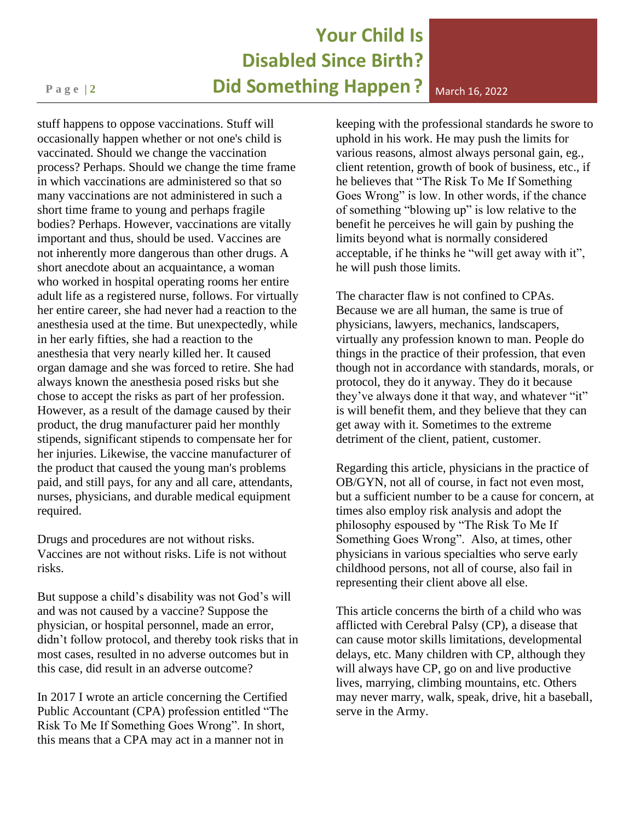# **Your Child Is Disabled Since Birth? Page 2 <b>2 Did Something Happen** ? March 16, 2022

stuff happens to oppose vaccinations. Stuff will occasionally happen whether or not one's child is vaccinated. Should we change the vaccination process? Perhaps. Should we change the time frame in which vaccinations are administered so that so many vaccinations are not administered in such a short time frame to young and perhaps fragile bodies? Perhaps. However, vaccinations are vitally important and thus, should be used. Vaccines are not inherently more dangerous than other drugs. A short anecdote about an acquaintance, a woman who worked in hospital operating rooms her entire adult life as a registered nurse, follows. For virtually her entire career, she had never had a reaction to the anesthesia used at the time. But unexpectedly, while in her early fifties, she had a reaction to the anesthesia that very nearly killed her. It caused organ damage and she was forced to retire. She had always known the anesthesia posed risks but she chose to accept the risks as part of her profession. However, as a result of the damage caused by their product, the drug manufacturer paid her monthly stipends, significant stipends to compensate her for her injuries. Likewise, the vaccine manufacturer of the product that caused the young man's problems paid, and still pays, for any and all care, attendants, nurses, physicians, and durable medical equipment required.

Drugs and procedures are not without risks. Vaccines are not without risks. Life is not without risks.

But suppose a child's disability was not God's will and was not caused by a vaccine? Suppose the physician, or hospital personnel, made an error, didn't follow protocol, and thereby took risks that in most cases, resulted in no adverse outcomes but in this case, did result in an adverse outcome?

In 2017 I wrote an article concerning the Certified Public Accountant (CPA) profession entitled "The Risk To Me If Something Goes Wrong". In short, this means that a CPA may act in a manner not in

keeping with the professional standards he swore to uphold in his work. He may push the limits for various reasons, almost always personal gain, eg., client retention, growth of book of business, etc., if he believes that "The Risk To Me If Something Goes Wrong" is low. In other words, if the chance of something "blowing up" is low relative to the benefit he perceives he will gain by pushing the limits beyond what is normally considered acceptable, if he thinks he "will get away with it", he will push those limits.

The character flaw is not confined to CPAs. Because we are all human, the same is true of physicians, lawyers, mechanics, landscapers, virtually any profession known to man. People do things in the practice of their profession, that even though not in accordance with standards, morals, or protocol, they do it anyway. They do it because they've always done it that way, and whatever "it" is will benefit them, and they believe that they can get away with it. Sometimes to the extreme detriment of the client, patient, customer.

Regarding this article, physicians in the practice of OB/GYN, not all of course, in fact not even most, but a sufficient number to be a cause for concern, at times also employ risk analysis and adopt the philosophy espoused by "The Risk To Me If Something Goes Wrong". Also, at times, other physicians in various specialties who serve early childhood persons, not all of course, also fail in representing their client above all else.

This article concerns the birth of a child who was afflicted with Cerebral Palsy (CP), a disease that can cause motor skills limitations, developmental delays, etc. Many children with CP, although they will always have CP, go on and live productive lives, marrying, climbing mountains, etc. Others may never marry, walk, speak, drive, hit a baseball, serve in the Army.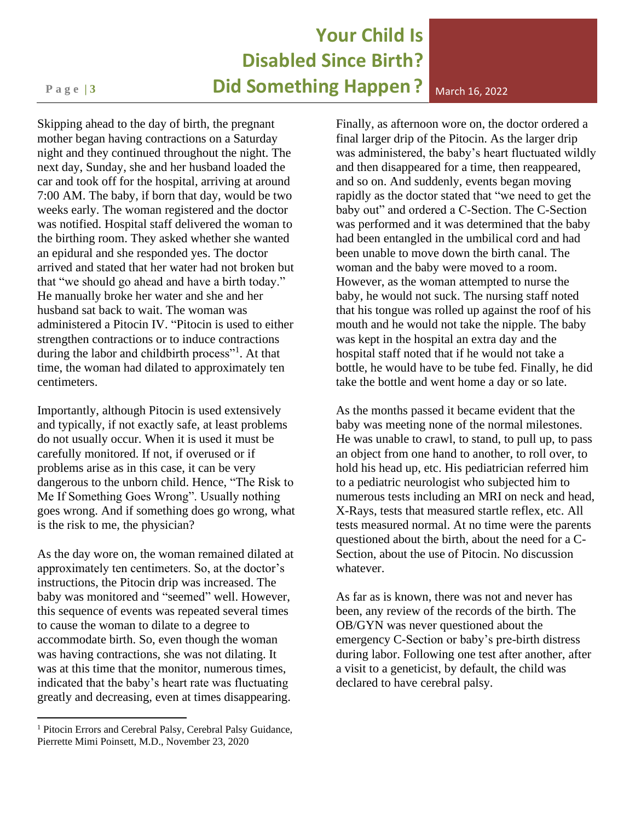### **Your Child Is Disabled Since Birth? Page 13 Did Something Happen** ? March 16, 2022

Skipping ahead to the day of birth, the pregnant mother began having contractions on a Saturday night and they continued throughout the night. The next day, Sunday, she and her husband loaded the car and took off for the hospital, arriving at around 7:00 AM. The baby, if born that day, would be two weeks early. The woman registered and the doctor was notified. Hospital staff delivered the woman to the birthing room. They asked whether she wanted an epidural and she responded yes. The doctor arrived and stated that her water had not broken but that "we should go ahead and have a birth today." He manually broke her water and she and her husband sat back to wait. The woman was administered a Pitocin IV. "Pitocin is used to either strengthen contractions or to induce contractions during the labor and childbirth process"<sup>1</sup>. At that time, the woman had dilated to approximately ten centimeters.

Importantly, although Pitocin is used extensively and typically, if not exactly safe, at least problems do not usually occur. When it is used it must be carefully monitored. If not, if overused or if problems arise as in this case, it can be very dangerous to the unborn child. Hence, "The Risk to Me If Something Goes Wrong". Usually nothing goes wrong. And if something does go wrong, what is the risk to me, the physician?

As the day wore on, the woman remained dilated at approximately ten centimeters. So, at the doctor's instructions, the Pitocin drip was increased. The baby was monitored and "seemed" well. However, this sequence of events was repeated several times to cause the woman to dilate to a degree to accommodate birth. So, even though the woman was having contractions, she was not dilating. It was at this time that the monitor, numerous times, indicated that the baby's heart rate was fluctuating greatly and decreasing, even at times disappearing.

Finally, as afternoon wore on, the doctor ordered a final larger drip of the Pitocin. As the larger drip was administered, the baby's heart fluctuated wildly and then disappeared for a time, then reappeared, and so on. And suddenly, events began moving rapidly as the doctor stated that "we need to get the baby out" and ordered a C-Section. The C-Section was performed and it was determined that the baby had been entangled in the umbilical cord and had been unable to move down the birth canal. The woman and the baby were moved to a room. However, as the woman attempted to nurse the baby, he would not suck. The nursing staff noted that his tongue was rolled up against the roof of his mouth and he would not take the nipple. The baby was kept in the hospital an extra day and the hospital staff noted that if he would not take a bottle, he would have to be tube fed. Finally, he did take the bottle and went home a day or so late.

As the months passed it became evident that the baby was meeting none of the normal milestones. He was unable to crawl, to stand, to pull up, to pass an object from one hand to another, to roll over, to hold his head up, etc. His pediatrician referred him to a pediatric neurologist who subjected him to numerous tests including an MRI on neck and head, X-Rays, tests that measured startle reflex, etc. All tests measured normal. At no time were the parents questioned about the birth, about the need for a C-Section, about the use of Pitocin. No discussion whatever.

As far as is known, there was not and never has been, any review of the records of the birth. The OB/GYN was never questioned about the emergency C-Section or baby's pre-birth distress during labor. Following one test after another, after a visit to a geneticist, by default, the child was declared to have cerebral palsy.

<sup>&</sup>lt;sup>1</sup> Pitocin Errors and Cerebral Palsy, Cerebral Palsy Guidance, Pierrette Mimi Poinsett, M.D., November 23, 2020